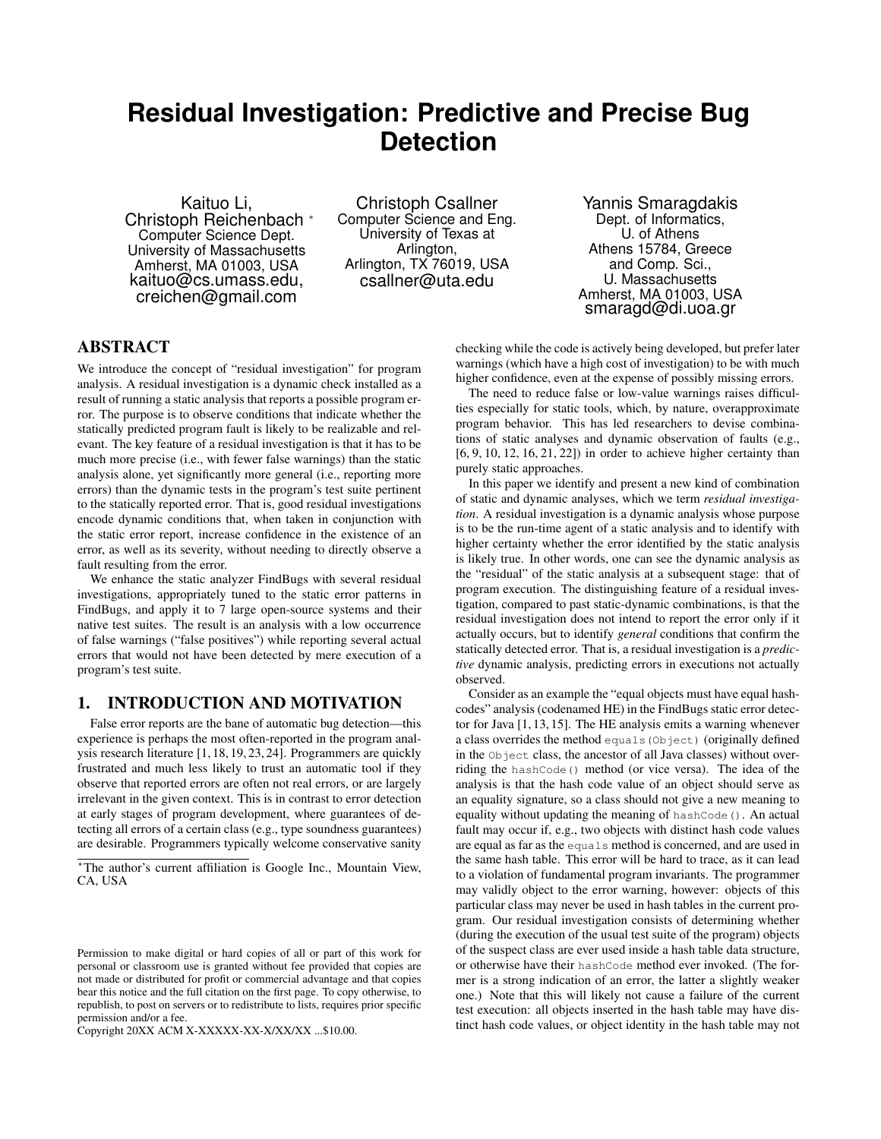# **Residual Investigation: Predictive and Precise Bug Detection**

Kaituo Li, Christoph Reichenbach <sup>∗</sup> Computer Science Dept. University of Massachusetts Amherst, MA 01003, USA kaituo@cs.umass.edu, creichen@gmail.com

Christoph Csallner Computer Science and Eng. University of Texas at Arlington, Arlington, TX 76019, USA csallner@uta.edu

Yannis Smaragdakis Dept. of Informatics, U. of Athens Athens 15784, Greece and Comp. Sci., U. Massachusetts Amherst, MA 01003, USA smaragd@di.uoa.gr

# ABSTRACT

We introduce the concept of "residual investigation" for program analysis. A residual investigation is a dynamic check installed as a result of running a static analysis that reports a possible program error. The purpose is to observe conditions that indicate whether the statically predicted program fault is likely to be realizable and relevant. The key feature of a residual investigation is that it has to be much more precise (i.e., with fewer false warnings) than the static analysis alone, yet significantly more general (i.e., reporting more errors) than the dynamic tests in the program's test suite pertinent to the statically reported error. That is, good residual investigations encode dynamic conditions that, when taken in conjunction with the static error report, increase confidence in the existence of an error, as well as its severity, without needing to directly observe a fault resulting from the error.

We enhance the static analyzer FindBugs with several residual investigations, appropriately tuned to the static error patterns in FindBugs, and apply it to 7 large open-source systems and their native test suites. The result is an analysis with a low occurrence of false warnings ("false positives") while reporting several actual errors that would not have been detected by mere execution of a program's test suite.

# 1. INTRODUCTION AND MOTIVATION

False error reports are the bane of automatic bug detection—this experience is perhaps the most often-reported in the program analysis research literature [1, 18, 19, 23, 24]. Programmers are quickly frustrated and much less likely to trust an automatic tool if they observe that reported errors are often not real errors, or are largely irrelevant in the given context. This is in contrast to error detection at early stages of program development, where guarantees of detecting all errors of a certain class (e.g., type soundness guarantees) are desirable. Programmers typically welcome conservative sanity

Copyright 20XX ACM X-XXXXX-XX-X/XX/XX ...\$10.00.

checking while the code is actively being developed, but prefer later warnings (which have a high cost of investigation) to be with much higher confidence, even at the expense of possibly missing errors.

The need to reduce false or low-value warnings raises difficulties especially for static tools, which, by nature, overapproximate program behavior. This has led researchers to devise combinations of static analyses and dynamic observation of faults (e.g., [6, 9, 10, 12, 16, 21, 22]) in order to achieve higher certainty than purely static approaches.

In this paper we identify and present a new kind of combination of static and dynamic analyses, which we term *residual investigation*. A residual investigation is a dynamic analysis whose purpose is to be the run-time agent of a static analysis and to identify with higher certainty whether the error identified by the static analysis is likely true. In other words, one can see the dynamic analysis as the "residual" of the static analysis at a subsequent stage: that of program execution. The distinguishing feature of a residual investigation, compared to past static-dynamic combinations, is that the residual investigation does not intend to report the error only if it actually occurs, but to identify *general* conditions that confirm the statically detected error. That is, a residual investigation is a *predictive* dynamic analysis, predicting errors in executions not actually observed.

Consider as an example the "equal objects must have equal hashcodes" analysis (codenamed HE) in the FindBugs static error detector for Java [1, 13, 15]. The HE analysis emits a warning whenever a class overrides the method equals(Object) (originally defined in the Object class, the ancestor of all Java classes) without overriding the hashCode() method (or vice versa). The idea of the analysis is that the hash code value of an object should serve as an equality signature, so a class should not give a new meaning to equality without updating the meaning of hashCode(). An actual fault may occur if, e.g., two objects with distinct hash code values are equal as far as the equals method is concerned, and are used in the same hash table. This error will be hard to trace, as it can lead to a violation of fundamental program invariants. The programmer may validly object to the error warning, however: objects of this particular class may never be used in hash tables in the current program. Our residual investigation consists of determining whether (during the execution of the usual test suite of the program) objects of the suspect class are ever used inside a hash table data structure, or otherwise have their hashCode method ever invoked. (The former is a strong indication of an error, the latter a slightly weaker one.) Note that this will likely not cause a failure of the current test execution: all objects inserted in the hash table may have distinct hash code values, or object identity in the hash table may not

<sup>∗</sup>The author's current affiliation is Google Inc., Mountain View, CA, USA

Permission to make digital or hard copies of all or part of this work for personal or classroom use is granted without fee provided that copies are not made or distributed for profit or commercial advantage and that copies bear this notice and the full citation on the first page. To copy otherwise, to republish, to post on servers or to redistribute to lists, requires prior specific permission and/or a fee.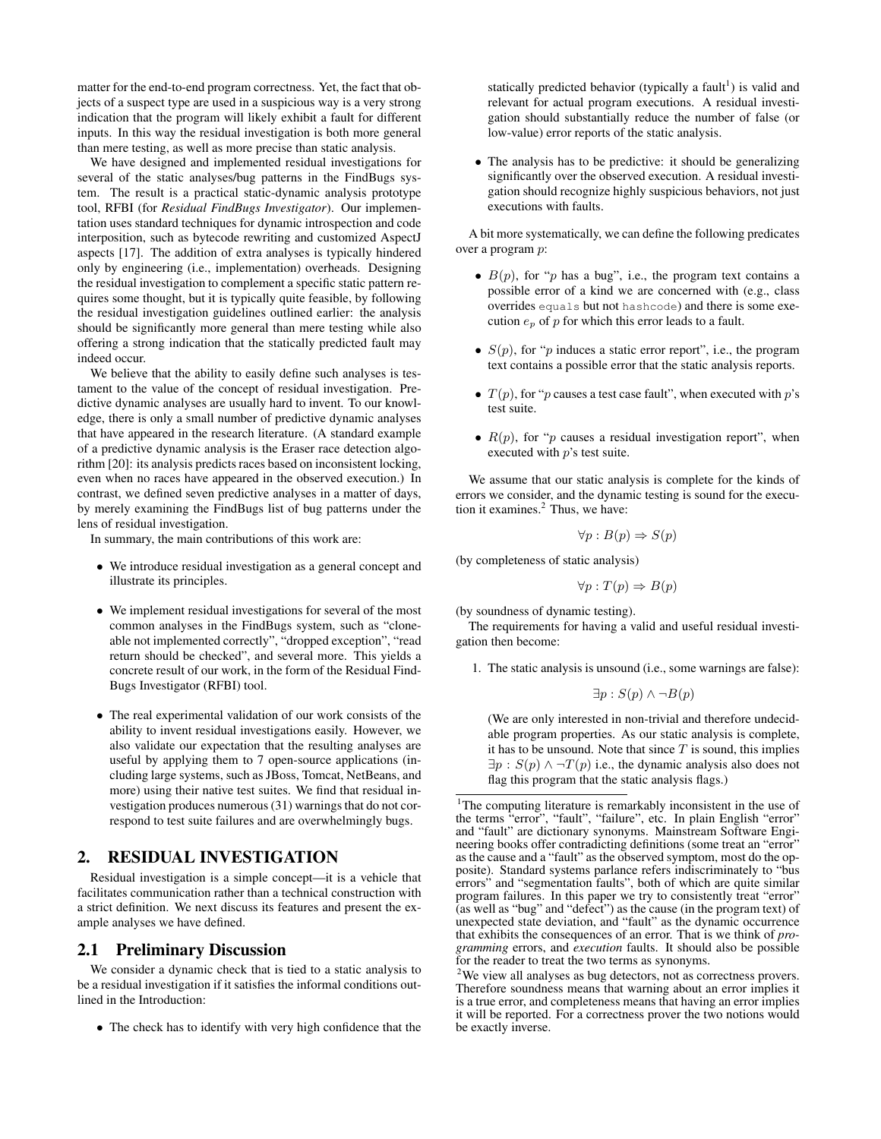matter for the end-to-end program correctness. Yet, the fact that objects of a suspect type are used in a suspicious way is a very strong indication that the program will likely exhibit a fault for different inputs. In this way the residual investigation is both more general than mere testing, as well as more precise than static analysis.

We have designed and implemented residual investigations for several of the static analyses/bug patterns in the FindBugs system. The result is a practical static-dynamic analysis prototype tool, RFBI (for *Residual FindBugs Investigator*). Our implementation uses standard techniques for dynamic introspection and code interposition, such as bytecode rewriting and customized AspectJ aspects [17]. The addition of extra analyses is typically hindered only by engineering (i.e., implementation) overheads. Designing the residual investigation to complement a specific static pattern requires some thought, but it is typically quite feasible, by following the residual investigation guidelines outlined earlier: the analysis should be significantly more general than mere testing while also offering a strong indication that the statically predicted fault may indeed occur.

We believe that the ability to easily define such analyses is testament to the value of the concept of residual investigation. Predictive dynamic analyses are usually hard to invent. To our knowledge, there is only a small number of predictive dynamic analyses that have appeared in the research literature. (A standard example of a predictive dynamic analysis is the Eraser race detection algorithm [20]: its analysis predicts races based on inconsistent locking, even when no races have appeared in the observed execution.) In contrast, we defined seven predictive analyses in a matter of days, by merely examining the FindBugs list of bug patterns under the lens of residual investigation.

In summary, the main contributions of this work are:

- We introduce residual investigation as a general concept and illustrate its principles.
- We implement residual investigations for several of the most common analyses in the FindBugs system, such as "cloneable not implemented correctly", "dropped exception", "read return should be checked", and several more. This yields a concrete result of our work, in the form of the Residual Find-Bugs Investigator (RFBI) tool.
- The real experimental validation of our work consists of the ability to invent residual investigations easily. However, we also validate our expectation that the resulting analyses are useful by applying them to 7 open-source applications (including large systems, such as JBoss, Tomcat, NetBeans, and more) using their native test suites. We find that residual investigation produces numerous (31) warnings that do not correspond to test suite failures and are overwhelmingly bugs.

# 2. RESIDUAL INVESTIGATION

Residual investigation is a simple concept—it is a vehicle that facilitates communication rather than a technical construction with a strict definition. We next discuss its features and present the example analyses we have defined.

# 2.1 Preliminary Discussion

We consider a dynamic check that is tied to a static analysis to be a residual investigation if it satisfies the informal conditions outlined in the Introduction:

• The check has to identify with very high confidence that the

statically predicted behavior (typically a fault<sup>1</sup>) is valid and relevant for actual program executions. A residual investigation should substantially reduce the number of false (or low-value) error reports of the static analysis.

• The analysis has to be predictive: it should be generalizing significantly over the observed execution. A residual investigation should recognize highly suspicious behaviors, not just executions with faults.

A bit more systematically, we can define the following predicates over a program p:

- $B(p)$ , for "p has a bug", i.e., the program text contains a possible error of a kind we are concerned with (e.g., class overrides equals but not hashcode) and there is some execution  $e_p$  of p for which this error leads to a fault.
- $S(p)$ , for "p induces a static error report", i.e., the program text contains a possible error that the static analysis reports.
- $T(p)$ , for "p causes a test case fault", when executed with p's test suite.
- $R(p)$ , for "p causes a residual investigation report", when executed with p's test suite.

We assume that our static analysis is complete for the kinds of errors we consider, and the dynamic testing is sound for the execution it examines.<sup>2</sup> Thus, we have:

$$
\forall p : B(p) \Rightarrow S(p)
$$

(by completeness of static analysis)

$$
\forall p: T(p) \Rightarrow B(p)
$$

(by soundness of dynamic testing).

The requirements for having a valid and useful residual investigation then become:

1. The static analysis is unsound (i.e., some warnings are false):

$$
\exists p : S(p) \land \neg B(p)
$$

(We are only interested in non-trivial and therefore undecidable program properties. As our static analysis is complete, it has to be unsound. Note that since  $T$  is sound, this implies  $\exists p : S(p) \land \neg T(p)$  i.e., the dynamic analysis also does not flag this program that the static analysis flags.)

 $1$ <sup>1</sup>The computing literature is remarkably inconsistent in the use of the terms "error", "fault", "failure", etc. In plain English "error" and "fault" are dictionary synonyms. Mainstream Software Engineering books offer contradicting definitions (some treat an "error" as the cause and a "fault" as the observed symptom, most do the opposite). Standard systems parlance refers indiscriminately to "bus errors" and "segmentation faults", both of which are quite similar program failures. In this paper we try to consistently treat "error" (as well as "bug" and "defect") as the cause (in the program text) of unexpected state deviation, and "fault" as the dynamic occurrence that exhibits the consequences of an error. That is we think of *programming* errors, and *execution* faults. It should also be possible for the reader to treat the two terms as synonyms.

<sup>&</sup>lt;sup>2</sup>We view all analyses as bug detectors, not as correctness provers. Therefore soundness means that warning about an error implies it is a true error, and completeness means that having an error implies it will be reported. For a correctness prover the two notions would be exactly inverse.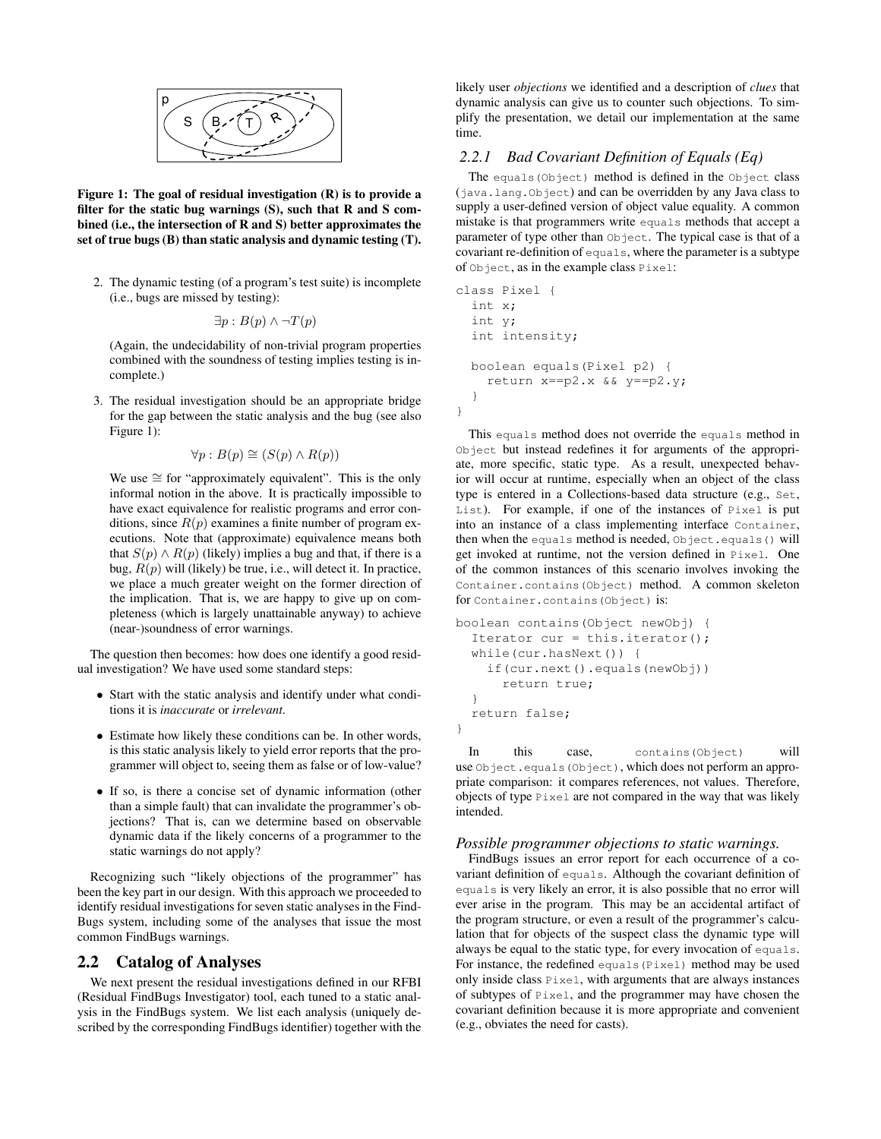

Figure 1: The goal of residual investigation (R) is to provide a filter for the static bug warnings  $(S)$ , such that R and S combined (i.e., the intersection of R and S) better approximates the set of true bugs (B) than static analysis and dynamic testing (T).

2. The dynamic testing (of a program's test suite) is incomplete (i.e., bugs are missed by testing):

$$
\exists p : B(p) \land \neg T(p)
$$

(Again, the undecidability of non-trivial program properties combined with the soundness of testing implies testing is incomplete.)

3. The residual investigation should be an appropriate bridge for the gap between the static analysis and the bug (see also Figure 1):

$$
\forall p : B(p) \cong (S(p) \land R(p))
$$

We use  $\cong$  for "approximately equivalent". This is the only informal notion in the above. It is practically impossible to have exact equivalence for realistic programs and error conditions, since  $R(p)$  examines a finite number of program executions. Note that (approximate) equivalence means both that  $S(p) \wedge R(p)$  (likely) implies a bug and that, if there is a bug,  $R(p)$  will (likely) be true, i.e., will detect it. In practice, we place a much greater weight on the former direction of the implication. That is, we are happy to give up on completeness (which is largely unattainable anyway) to achieve (near-)soundness of error warnings.

The question then becomes: how does one identify a good residual investigation? We have used some standard steps:

- Start with the static analysis and identify under what conditions it is *inaccurate* or *irrelevant*.
- Estimate how likely these conditions can be. In other words, is this static analysis likely to yield error reports that the programmer will object to, seeing them as false or of low-value?
- If so, is there a concise set of dynamic information (other than a simple fault) that can invalidate the programmer's objections? That is, can we determine based on observable dynamic data if the likely concerns of a programmer to the static warnings do not apply?

Recognizing such "likely objections of the programmer" has been the key part in our design. With this approach we proceeded to identify residual investigations for seven static analyses in the Find-Bugs system, including some of the analyses that issue the most common FindBugs warnings.

# 2.2 Catalog of Analyses

We next present the residual investigations defined in our RFBI (Residual FindBugs Investigator) tool, each tuned to a static analysis in the FindBugs system. We list each analysis (uniquely described by the corresponding FindBugs identifier) together with the likely user *objections* we identified and a description of *clues* that dynamic analysis can give us to counter such objections. To simplify the presentation, we detail our implementation at the same time.

# *2.2.1 Bad Covariant Definition of Equals (Eq)*

The equals(Object) method is defined in the Object class (java.lang.Object) and can be overridden by any Java class to supply a user-defined version of object value equality. A common mistake is that programmers write equals methods that accept a parameter of type other than Object. The typical case is that of a covariant re-definition of equals, where the parameter is a subtype of Object, as in the example class Pixel:

```
class Pixel {
  int x;
  int y;
  int intensity;
 boolean equals(Pixel p2) {
    return x==p2.x && y==p2.y;
  }
```
}

This equals method does not override the equals method in Object but instead redefines it for arguments of the appropriate, more specific, static type. As a result, unexpected behavior will occur at runtime, especially when an object of the class type is entered in a Collections-based data structure (e.g., Set, List). For example, if one of the instances of Pixel is put into an instance of a class implementing interface Container, then when the equals method is needed, Object.equals() will get invoked at runtime, not the version defined in Pixel. One of the common instances of this scenario involves invoking the Container.contains(Object) method. A common skeleton for Container.contains(Object) is:

```
boolean contains(Object newObj) {
  Iterator cur = this.iterator();
  while(cur.hasNext()) {
    if(cur.next().equals(newObj))
      return true;
  }
  return false;
}
```
In this case, contains(Object) will use Object.equals(Object), which does not perform an appropriate comparison: it compares references, not values. Therefore, objects of type Pixel are not compared in the way that was likely intended.

#### *Possible programmer objections to static warnings.*

FindBugs issues an error report for each occurrence of a covariant definition of equals. Although the covariant definition of equals is very likely an error, it is also possible that no error will ever arise in the program. This may be an accidental artifact of the program structure, or even a result of the programmer's calculation that for objects of the suspect class the dynamic type will always be equal to the static type, for every invocation of equals. For instance, the redefined equals(Pixel) method may be used only inside class Pixel, with arguments that are always instances of subtypes of Pixel, and the programmer may have chosen the covariant definition because it is more appropriate and convenient (e.g., obviates the need for casts).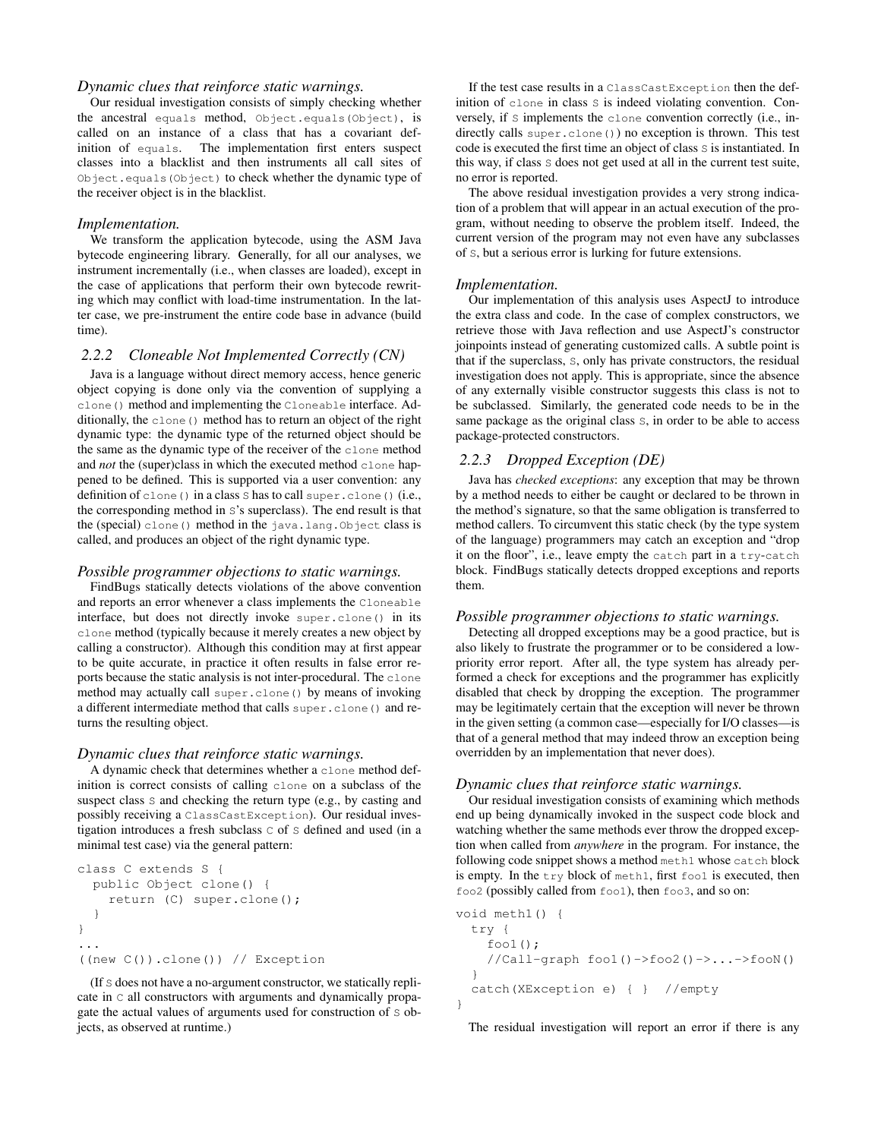#### *Dynamic clues that reinforce static warnings.*

Our residual investigation consists of simply checking whether the ancestral equals method, Object.equals(Object), is called on an instance of a class that has a covariant definition of equals. The implementation first enters suspect classes into a blacklist and then instruments all call sites of Object.equals(Object) to check whether the dynamic type of the receiver object is in the blacklist.

#### *Implementation.*

We transform the application bytecode, using the ASM Java bytecode engineering library. Generally, for all our analyses, we instrument incrementally (i.e., when classes are loaded), except in the case of applications that perform their own bytecode rewriting which may conflict with load-time instrumentation. In the latter case, we pre-instrument the entire code base in advance (build time).

# *2.2.2 Cloneable Not Implemented Correctly (CN)*

Java is a language without direct memory access, hence generic object copying is done only via the convention of supplying a clone() method and implementing the Cloneable interface. Additionally, the clone() method has to return an object of the right dynamic type: the dynamic type of the returned object should be the same as the dynamic type of the receiver of the clone method and *not* the (super)class in which the executed method clone happened to be defined. This is supported via a user convention: any definition of clone() in a class S has to call super.clone() (i.e., the corresponding method in S's superclass). The end result is that the (special) clone() method in the java.lang.Object class is called, and produces an object of the right dynamic type.

### *Possible programmer objections to static warnings.*

FindBugs statically detects violations of the above convention and reports an error whenever a class implements the Cloneable interface, but does not directly invoke super.clone() in its clone method (typically because it merely creates a new object by calling a constructor). Although this condition may at first appear to be quite accurate, in practice it often results in false error reports because the static analysis is not inter-procedural. The clone method may actually call super.clone() by means of invoking a different intermediate method that calls super.clone() and returns the resulting object.

#### *Dynamic clues that reinforce static warnings.*

A dynamic check that determines whether a clone method definition is correct consists of calling clone on a subclass of the suspect class  $s$  and checking the return type (e.g., by casting and possibly receiving a ClassCastException). Our residual investigation introduces a fresh subclass C of S defined and used (in a minimal test case) via the general pattern:

```
class C extends S {
  public Object clone() {
    return (C) super.clone();
  }
}
...
((new C()).clone()) // Exception
```
(If S does not have a no-argument constructor, we statically replicate in C all constructors with arguments and dynamically propagate the actual values of arguments used for construction of S objects, as observed at runtime.)

If the test case results in a ClassCastException then the definition of clone in class s is indeed violating convention. Conversely, if S implements the clone convention correctly (i.e., indirectly calls super.clone()) no exception is thrown. This test code is executed the first time an object of class S is instantiated. In this way, if class S does not get used at all in the current test suite, no error is reported.

The above residual investigation provides a very strong indication of a problem that will appear in an actual execution of the program, without needing to observe the problem itself. Indeed, the current version of the program may not even have any subclasses of S, but a serious error is lurking for future extensions.

#### *Implementation.*

Our implementation of this analysis uses AspectJ to introduce the extra class and code. In the case of complex constructors, we retrieve those with Java reflection and use AspectJ's constructor joinpoints instead of generating customized calls. A subtle point is that if the superclass, S, only has private constructors, the residual investigation does not apply. This is appropriate, since the absence of any externally visible constructor suggests this class is not to be subclassed. Similarly, the generated code needs to be in the same package as the original class S, in order to be able to access package-protected constructors.

# *2.2.3 Dropped Exception (DE)*

Java has *checked exceptions*: any exception that may be thrown by a method needs to either be caught or declared to be thrown in the method's signature, so that the same obligation is transferred to method callers. To circumvent this static check (by the type system of the language) programmers may catch an exception and "drop it on the floor", i.e., leave empty the catch part in a try-catch block. FindBugs statically detects dropped exceptions and reports them.

#### *Possible programmer objections to static warnings.*

Detecting all dropped exceptions may be a good practice, but is also likely to frustrate the programmer or to be considered a lowpriority error report. After all, the type system has already performed a check for exceptions and the programmer has explicitly disabled that check by dropping the exception. The programmer may be legitimately certain that the exception will never be thrown in the given setting (a common case—especially for I/O classes—is that of a general method that may indeed throw an exception being overridden by an implementation that never does).

### *Dynamic clues that reinforce static warnings.*

Our residual investigation consists of examining which methods end up being dynamically invoked in the suspect code block and watching whether the same methods ever throw the dropped exception when called from *anywhere* in the program. For instance, the following code snippet shows a method meth1 whose catch block is empty. In the try block of meth1, first foo1 is executed, then foo2 (possibly called from foo1), then foo3, and so on:

```
void meth1() {
  try {
    foo1();
    //Call-qraph fool()->foo2()->...->foon()}
  catch(XException e) { } //empty
}
```
The residual investigation will report an error if there is any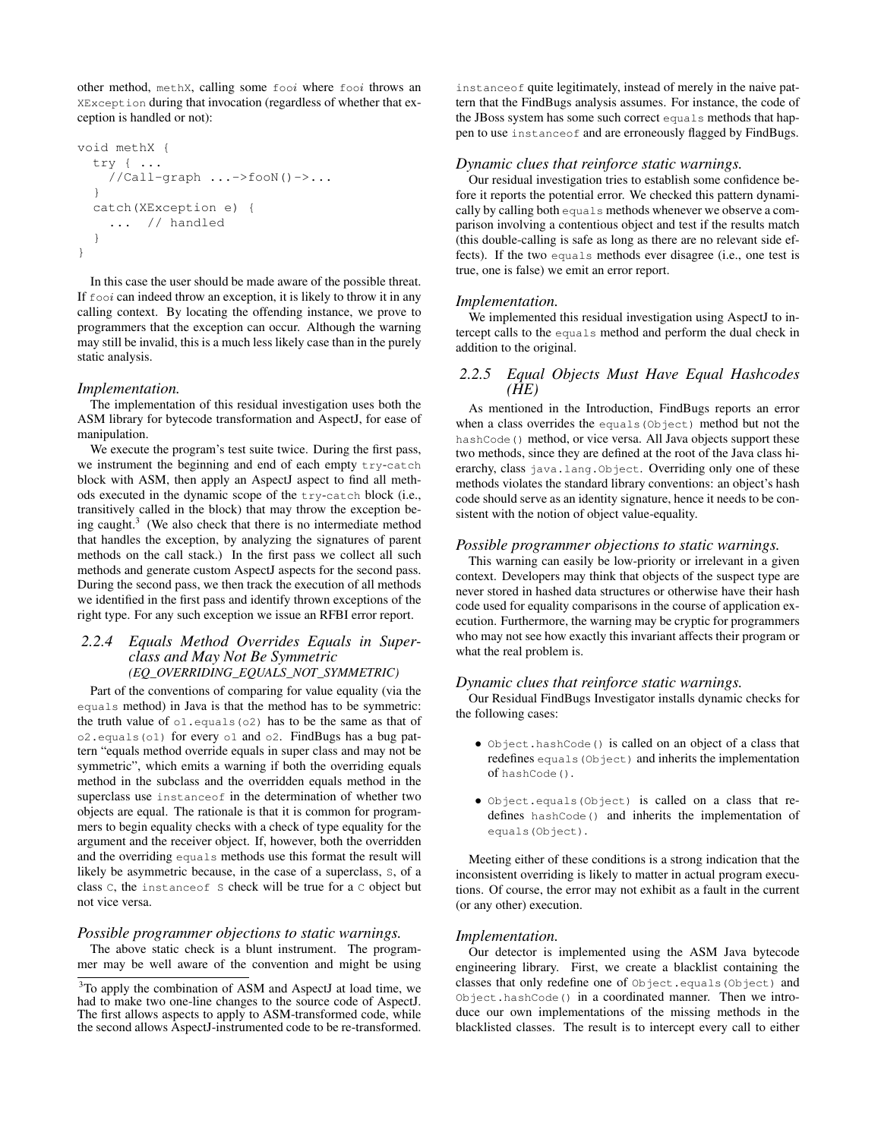other method, methX, calling some fooi where fooi throws an XException during that invocation (regardless of whether that exception is handled or not):

```
void methX {
  try { ...
    //Call-graph ...->fooN()->...
  }
  catch(XException e) {
    ... // handled
  }
}
```
In this case the user should be made aware of the possible threat. If  $f \circ \circ i$  can indeed throw an exception, it is likely to throw it in any calling context. By locating the offending instance, we prove to programmers that the exception can occur. Although the warning may still be invalid, this is a much less likely case than in the purely static analysis.

#### *Implementation.*

The implementation of this residual investigation uses both the ASM library for bytecode transformation and AspectJ, for ease of manipulation.

We execute the program's test suite twice. During the first pass, we instrument the beginning and end of each empty try-catch block with ASM, then apply an AspectJ aspect to find all methods executed in the dynamic scope of the try-catch block (i.e., transitively called in the block) that may throw the exception being caught. $3$  (We also check that there is no intermediate method that handles the exception, by analyzing the signatures of parent methods on the call stack.) In the first pass we collect all such methods and generate custom AspectJ aspects for the second pass. During the second pass, we then track the execution of all methods we identified in the first pass and identify thrown exceptions of the right type. For any such exception we issue an RFBI error report.

### *2.2.4 Equals Method Overrides Equals in Superclass and May Not Be Symmetric (EQ\_OVERRIDING\_EQUALS\_NOT\_SYMMETRIC)*

Part of the conventions of comparing for value equality (via the equals method) in Java is that the method has to be symmetric: the truth value of  $o1$ . equals ( $o2$ ) has to be the same as that of o2.equals(o1) for every o1 and o2. FindBugs has a bug pattern "equals method override equals in super class and may not be symmetric", which emits a warning if both the overriding equals method in the subclass and the overridden equals method in the superclass use instanceof in the determination of whether two objects are equal. The rationale is that it is common for programmers to begin equality checks with a check of type equality for the argument and the receiver object. If, however, both the overridden and the overriding equals methods use this format the result will likely be asymmetric because, in the case of a superclass, S, of a class C, the instanceof S check will be true for a C object but not vice versa.

# *Possible programmer objections to static warnings.*

The above static check is a blunt instrument. The programmer may be well aware of the convention and might be using

instanceof quite legitimately, instead of merely in the naive pattern that the FindBugs analysis assumes. For instance, the code of the JBoss system has some such correct equals methods that happen to use instanceof and are erroneously flagged by FindBugs.

#### *Dynamic clues that reinforce static warnings.*

Our residual investigation tries to establish some confidence before it reports the potential error. We checked this pattern dynamically by calling both equals methods whenever we observe a comparison involving a contentious object and test if the results match (this double-calling is safe as long as there are no relevant side effects). If the two equals methods ever disagree (i.e., one test is true, one is false) we emit an error report.

#### *Implementation.*

We implemented this residual investigation using AspectJ to intercept calls to the equals method and perform the dual check in addition to the original.

### *2.2.5 Equal Objects Must Have Equal Hashcodes (HE)*

As mentioned in the Introduction, FindBugs reports an error when a class overrides the equals(Object) method but not the hashCode() method, or vice versa. All Java objects support these two methods, since they are defined at the root of the Java class hierarchy, class java.lang.Object. Overriding only one of these methods violates the standard library conventions: an object's hash code should serve as an identity signature, hence it needs to be consistent with the notion of object value-equality.

#### *Possible programmer objections to static warnings.*

This warning can easily be low-priority or irrelevant in a given context. Developers may think that objects of the suspect type are never stored in hashed data structures or otherwise have their hash code used for equality comparisons in the course of application execution. Furthermore, the warning may be cryptic for programmers who may not see how exactly this invariant affects their program or what the real problem is.

#### *Dynamic clues that reinforce static warnings.*

Our Residual FindBugs Investigator installs dynamic checks for the following cases:

- Object.hashCode() is called on an object of a class that redefines equals(Object) and inherits the implementation of hashCode().
- Object.equals(Object) is called on a class that redefines hashCode() and inherits the implementation of equals(Object).

Meeting either of these conditions is a strong indication that the inconsistent overriding is likely to matter in actual program executions. Of course, the error may not exhibit as a fault in the current (or any other) execution.

#### *Implementation.*

Our detector is implemented using the ASM Java bytecode engineering library. First, we create a blacklist containing the classes that only redefine one of Object.equals(Object) and Object.hashCode() in a coordinated manner. Then we introduce our own implementations of the missing methods in the blacklisted classes. The result is to intercept every call to either

<sup>3</sup>To apply the combination of ASM and AspectJ at load time, we had to make two one-line changes to the source code of AspectJ. The first allows aspects to apply to ASM-transformed code, while the second allows AspectJ-instrumented code to be re-transformed.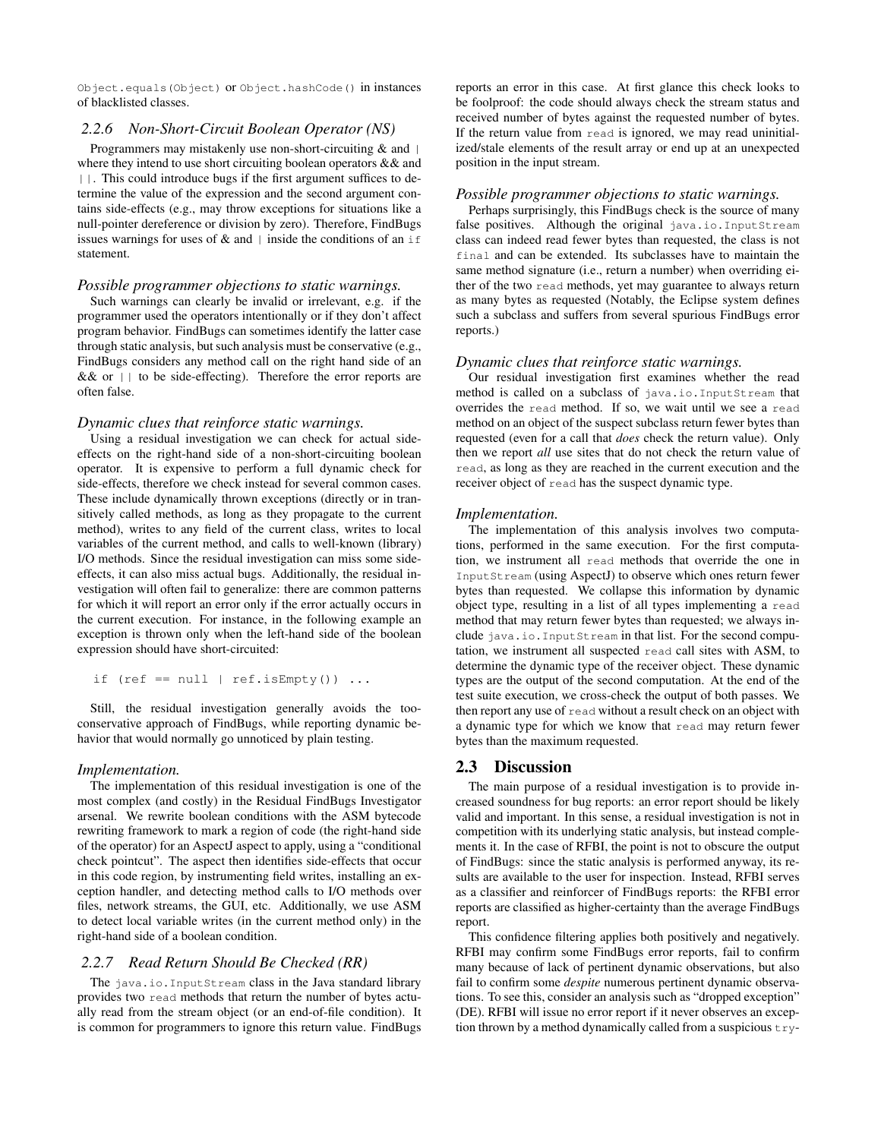Object.equals(Object) or Object.hashCode() in instances of blacklisted classes.

#### *2.2.6 Non-Short-Circuit Boolean Operator (NS)*

Programmers may mistakenly use non-short-circuiting  $\&$  and  $\parallel$ where they intend to use short circuiting boolean operators && and | |. This could introduce bugs if the first argument suffices to determine the value of the expression and the second argument contains side-effects (e.g., may throw exceptions for situations like a null-pointer dereference or division by zero). Therefore, FindBugs issues warnings for uses of  $&$  and  $\vert$  inside the conditions of an if statement.

# *Possible programmer objections to static warnings.*

Such warnings can clearly be invalid or irrelevant, e.g. if the programmer used the operators intentionally or if they don't affect program behavior. FindBugs can sometimes identify the latter case through static analysis, but such analysis must be conservative (e.g., FindBugs considers any method call on the right hand side of an && or  $||$  to be side-effecting). Therefore the error reports are often false.

# *Dynamic clues that reinforce static warnings.*

Using a residual investigation we can check for actual sideeffects on the right-hand side of a non-short-circuiting boolean operator. It is expensive to perform a full dynamic check for side-effects, therefore we check instead for several common cases. These include dynamically thrown exceptions (directly or in transitively called methods, as long as they propagate to the current method), writes to any field of the current class, writes to local variables of the current method, and calls to well-known (library) I/O methods. Since the residual investigation can miss some sideeffects, it can also miss actual bugs. Additionally, the residual investigation will often fail to generalize: there are common patterns for which it will report an error only if the error actually occurs in the current execution. For instance, in the following example an exception is thrown only when the left-hand side of the boolean expression should have short-circuited:

if (ref ==  $null$  | ref.isEmpty()) ...

Still, the residual investigation generally avoids the tooconservative approach of FindBugs, while reporting dynamic behavior that would normally go unnoticed by plain testing.

#### *Implementation.*

The implementation of this residual investigation is one of the most complex (and costly) in the Residual FindBugs Investigator arsenal. We rewrite boolean conditions with the ASM bytecode rewriting framework to mark a region of code (the right-hand side of the operator) for an AspectJ aspect to apply, using a "conditional check pointcut". The aspect then identifies side-effects that occur in this code region, by instrumenting field writes, installing an exception handler, and detecting method calls to I/O methods over files, network streams, the GUI, etc. Additionally, we use ASM to detect local variable writes (in the current method only) in the right-hand side of a boolean condition.

#### *2.2.7 Read Return Should Be Checked (RR)*

The java.io.InputStream class in the Java standard library provides two read methods that return the number of bytes actually read from the stream object (or an end-of-file condition). It is common for programmers to ignore this return value. FindBugs reports an error in this case. At first glance this check looks to be foolproof: the code should always check the stream status and received number of bytes against the requested number of bytes. If the return value from read is ignored, we may read uninitialized/stale elements of the result array or end up at an unexpected position in the input stream.

#### *Possible programmer objections to static warnings.*

Perhaps surprisingly, this FindBugs check is the source of many false positives. Although the original java.io.InputStream class can indeed read fewer bytes than requested, the class is not final and can be extended. Its subclasses have to maintain the same method signature (i.e., return a number) when overriding either of the two read methods, yet may guarantee to always return as many bytes as requested (Notably, the Eclipse system defines such a subclass and suffers from several spurious FindBugs error reports.)

#### *Dynamic clues that reinforce static warnings.*

Our residual investigation first examines whether the read method is called on a subclass of java.io.InputStream that overrides the read method. If so, we wait until we see a read method on an object of the suspect subclass return fewer bytes than requested (even for a call that *does* check the return value). Only then we report *all* use sites that do not check the return value of read, as long as they are reached in the current execution and the receiver object of read has the suspect dynamic type.

#### *Implementation.*

The implementation of this analysis involves two computations, performed in the same execution. For the first computation, we instrument all read methods that override the one in InputStream (using AspectJ) to observe which ones return fewer bytes than requested. We collapse this information by dynamic object type, resulting in a list of all types implementing a read method that may return fewer bytes than requested; we always include java.io.InputStream in that list. For the second computation, we instrument all suspected read call sites with ASM, to determine the dynamic type of the receiver object. These dynamic types are the output of the second computation. At the end of the test suite execution, we cross-check the output of both passes. We then report any use of read without a result check on an object with a dynamic type for which we know that read may return fewer bytes than the maximum requested.

### 2.3 Discussion

The main purpose of a residual investigation is to provide increased soundness for bug reports: an error report should be likely valid and important. In this sense, a residual investigation is not in competition with its underlying static analysis, but instead complements it. In the case of RFBI, the point is not to obscure the output of FindBugs: since the static analysis is performed anyway, its results are available to the user for inspection. Instead, RFBI serves as a classifier and reinforcer of FindBugs reports: the RFBI error reports are classified as higher-certainty than the average FindBugs report.

This confidence filtering applies both positively and negatively. RFBI may confirm some FindBugs error reports, fail to confirm many because of lack of pertinent dynamic observations, but also fail to confirm some *despite* numerous pertinent dynamic observations. To see this, consider an analysis such as "dropped exception" (DE). RFBI will issue no error report if it never observes an exception thrown by a method dynamically called from a suspicious  $tr$ y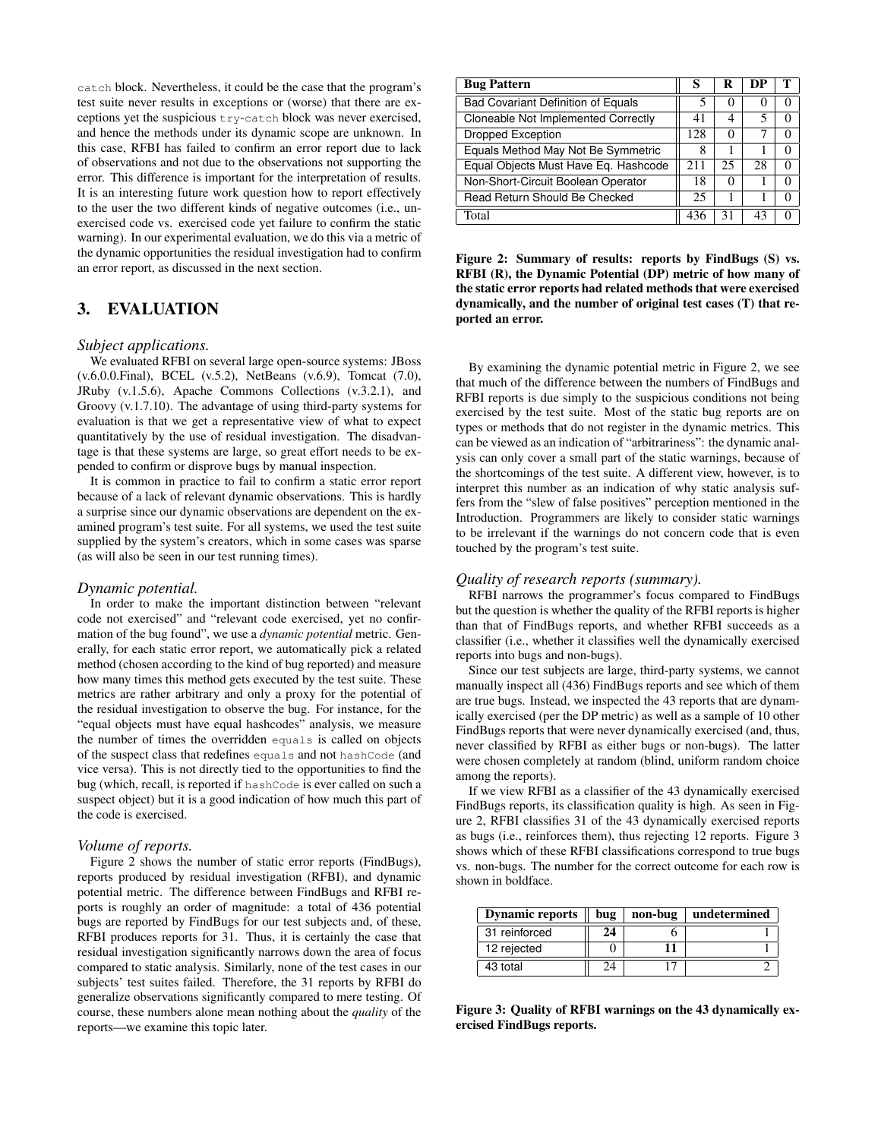catch block. Nevertheless, it could be the case that the program's test suite never results in exceptions or (worse) that there are exceptions yet the suspicious try-catch block was never exercised, and hence the methods under its dynamic scope are unknown. In this case, RFBI has failed to confirm an error report due to lack of observations and not due to the observations not supporting the error. This difference is important for the interpretation of results. It is an interesting future work question how to report effectively to the user the two different kinds of negative outcomes (i.e., unexercised code vs. exercised code yet failure to confirm the static warning). In our experimental evaluation, we do this via a metric of the dynamic opportunities the residual investigation had to confirm an error report, as discussed in the next section.

# 3. EVALUATION

#### *Subject applications.*

We evaluated RFBI on several large open-source systems: JBoss (v.6.0.0.Final), BCEL (v.5.2), NetBeans (v.6.9), Tomcat (7.0), JRuby (v.1.5.6), Apache Commons Collections (v.3.2.1), and Groovy (v.1.7.10). The advantage of using third-party systems for evaluation is that we get a representative view of what to expect quantitatively by the use of residual investigation. The disadvantage is that these systems are large, so great effort needs to be expended to confirm or disprove bugs by manual inspection.

It is common in practice to fail to confirm a static error report because of a lack of relevant dynamic observations. This is hardly a surprise since our dynamic observations are dependent on the examined program's test suite. For all systems, we used the test suite supplied by the system's creators, which in some cases was sparse (as will also be seen in our test running times).

#### *Dynamic potential.*

In order to make the important distinction between "relevant code not exercised" and "relevant code exercised, yet no confirmation of the bug found", we use a *dynamic potential* metric. Generally, for each static error report, we automatically pick a related method (chosen according to the kind of bug reported) and measure how many times this method gets executed by the test suite. These metrics are rather arbitrary and only a proxy for the potential of the residual investigation to observe the bug. For instance, for the "equal objects must have equal hashcodes" analysis, we measure the number of times the overridden equals is called on objects of the suspect class that redefines equals and not hashCode (and vice versa). This is not directly tied to the opportunities to find the bug (which, recall, is reported if hashCode is ever called on such a suspect object) but it is a good indication of how much this part of the code is exercised.

#### *Volume of reports.*

Figure 2 shows the number of static error reports (FindBugs), reports produced by residual investigation (RFBI), and dynamic potential metric. The difference between FindBugs and RFBI reports is roughly an order of magnitude: a total of 436 potential bugs are reported by FindBugs for our test subjects and, of these, RFBI produces reports for 31. Thus, it is certainly the case that residual investigation significantly narrows down the area of focus compared to static analysis. Similarly, none of the test cases in our subjects' test suites failed. Therefore, the 31 reports by RFBI do generalize observations significantly compared to mere testing. Of course, these numbers alone mean nothing about the *quality* of the reports—we examine this topic later.

| <b>Bug Pattern</b>                        | S   | R                | DP |  |
|-------------------------------------------|-----|------------------|----|--|
| <b>Bad Covariant Definition of Equals</b> | 5   | 0                |    |  |
| Cloneable Not Implemented Correctly       | 41  | 4                |    |  |
| <b>Dropped Exception</b>                  | 128 | $\left( \right)$ |    |  |
| Equals Method May Not Be Symmetric        | 8   |                  |    |  |
| Equal Objects Must Have Eq. Hashcode      | 211 | 25               | 28 |  |
| Non-Short-Circuit Boolean Operator        | 18  | 0                |    |  |
| Read Return Should Be Checked             | 25  |                  |    |  |
| Total                                     | 436 | 31               | 43 |  |

Figure 2: Summary of results: reports by FindBugs (S) vs. RFBI (R), the Dynamic Potential (DP) metric of how many of the static error reports had related methods that were exercised dynamically, and the number of original test cases (T) that reported an error.

By examining the dynamic potential metric in Figure 2, we see that much of the difference between the numbers of FindBugs and RFBI reports is due simply to the suspicious conditions not being exercised by the test suite. Most of the static bug reports are on types or methods that do not register in the dynamic metrics. This can be viewed as an indication of "arbitrariness": the dynamic analysis can only cover a small part of the static warnings, because of the shortcomings of the test suite. A different view, however, is to interpret this number as an indication of why static analysis suffers from the "slew of false positives" perception mentioned in the Introduction. Programmers are likely to consider static warnings to be irrelevant if the warnings do not concern code that is even touched by the program's test suite.

#### *Quality of research reports (summary).*

RFBI narrows the programmer's focus compared to FindBugs but the question is whether the quality of the RFBI reports is higher than that of FindBugs reports, and whether RFBI succeeds as a classifier (i.e., whether it classifies well the dynamically exercised reports into bugs and non-bugs).

Since our test subjects are large, third-party systems, we cannot manually inspect all (436) FindBugs reports and see which of them are true bugs. Instead, we inspected the 43 reports that are dynamically exercised (per the DP metric) as well as a sample of 10 other FindBugs reports that were never dynamically exercised (and, thus, never classified by RFBI as either bugs or non-bugs). The latter were chosen completely at random (blind, uniform random choice among the reports).

If we view RFBI as a classifier of the 43 dynamically exercised FindBugs reports, its classification quality is high. As seen in Figure 2, RFBI classifies 31 of the 43 dynamically exercised reports as bugs (i.e., reinforces them), thus rejecting 12 reports. Figure 3 shows which of these RFBI classifications correspond to true bugs vs. non-bugs. The number for the correct outcome for each row is shown in boldface.

| <b>Dynamic reports</b> | bug | non-bug | undetermined |
|------------------------|-----|---------|--------------|
| 31 reinforced          | 24  |         |              |
| 12 rejected            |     |         |              |
| 43 total               |     |         |              |

Figure 3: Quality of RFBI warnings on the 43 dynamically exercised FindBugs reports.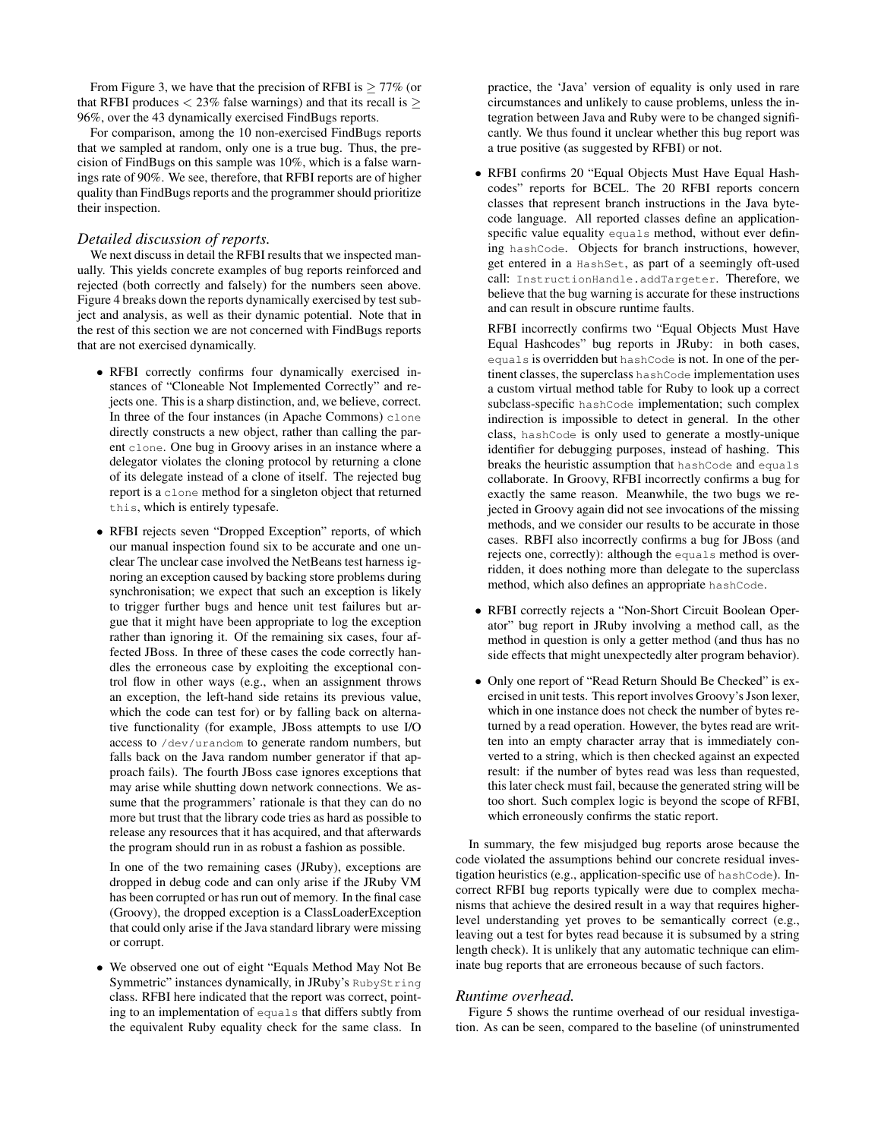From Figure 3, we have that the precision of RFBI is  $> 77\%$  (or that RFBI produces  $<$  23% false warnings) and that its recall is  $>$ 96%, over the 43 dynamically exercised FindBugs reports.

For comparison, among the 10 non-exercised FindBugs reports that we sampled at random, only one is a true bug. Thus, the precision of FindBugs on this sample was 10%, which is a false warnings rate of 90%. We see, therefore, that RFBI reports are of higher quality than FindBugs reports and the programmer should prioritize their inspection.

### *Detailed discussion of reports.*

We next discuss in detail the RFBI results that we inspected manually. This yields concrete examples of bug reports reinforced and rejected (both correctly and falsely) for the numbers seen above. Figure 4 breaks down the reports dynamically exercised by test subject and analysis, as well as their dynamic potential. Note that in the rest of this section we are not concerned with FindBugs reports that are not exercised dynamically.

- RFBI correctly confirms four dynamically exercised instances of "Cloneable Not Implemented Correctly" and rejects one. This is a sharp distinction, and, we believe, correct. In three of the four instances (in Apache Commons) clone directly constructs a new object, rather than calling the parent clone. One bug in Groovy arises in an instance where a delegator violates the cloning protocol by returning a clone of its delegate instead of a clone of itself. The rejected bug report is a clone method for a singleton object that returned this, which is entirely typesafe.
- RFBI rejects seven "Dropped Exception" reports, of which our manual inspection found six to be accurate and one unclear The unclear case involved the NetBeans test harness ignoring an exception caused by backing store problems during synchronisation; we expect that such an exception is likely to trigger further bugs and hence unit test failures but argue that it might have been appropriate to log the exception rather than ignoring it. Of the remaining six cases, four affected JBoss. In three of these cases the code correctly handles the erroneous case by exploiting the exceptional control flow in other ways (e.g., when an assignment throws an exception, the left-hand side retains its previous value, which the code can test for) or by falling back on alternative functionality (for example, JBoss attempts to use I/O access to /dev/urandom to generate random numbers, but falls back on the Java random number generator if that approach fails). The fourth JBoss case ignores exceptions that may arise while shutting down network connections. We assume that the programmers' rationale is that they can do no more but trust that the library code tries as hard as possible to release any resources that it has acquired, and that afterwards the program should run in as robust a fashion as possible.

In one of the two remaining cases (JRuby), exceptions are dropped in debug code and can only arise if the JRuby VM has been corrupted or has run out of memory. In the final case (Groovy), the dropped exception is a ClassLoaderException that could only arise if the Java standard library were missing or corrupt.

• We observed one out of eight "Equals Method May Not Be Symmetric" instances dynamically, in JRuby's RubyString class. RFBI here indicated that the report was correct, pointing to an implementation of equals that differs subtly from the equivalent Ruby equality check for the same class. In practice, the 'Java' version of equality is only used in rare circumstances and unlikely to cause problems, unless the integration between Java and Ruby were to be changed significantly. We thus found it unclear whether this bug report was a true positive (as suggested by RFBI) or not.

- RFBI confirms 20 "Equal Objects Must Have Equal Hashcodes" reports for BCEL. The 20 RFBI reports concern classes that represent branch instructions in the Java bytecode language. All reported classes define an applicationspecific value equality equals method, without ever defining hashCode. Objects for branch instructions, however, get entered in a HashSet, as part of a seemingly oft-used call: InstructionHandle.addTargeter. Therefore, we believe that the bug warning is accurate for these instructions and can result in obscure runtime faults.
	- RFBI incorrectly confirms two "Equal Objects Must Have Equal Hashcodes" bug reports in JRuby: in both cases, equals is overridden but hashCode is not. In one of the pertinent classes, the superclass hashCode implementation uses a custom virtual method table for Ruby to look up a correct subclass-specific hashCode implementation; such complex indirection is impossible to detect in general. In the other class, hashCode is only used to generate a mostly-unique identifier for debugging purposes, instead of hashing. This breaks the heuristic assumption that hashCode and equals collaborate. In Groovy, RFBI incorrectly confirms a bug for exactly the same reason. Meanwhile, the two bugs we rejected in Groovy again did not see invocations of the missing methods, and we consider our results to be accurate in those cases. RBFI also incorrectly confirms a bug for JBoss (and rejects one, correctly): although the equals method is overridden, it does nothing more than delegate to the superclass method, which also defines an appropriate hashCode.
- RFBI correctly rejects a "Non-Short Circuit Boolean Operator" bug report in JRuby involving a method call, as the method in question is only a getter method (and thus has no side effects that might unexpectedly alter program behavior).
- Only one report of "Read Return Should Be Checked" is exercised in unit tests. This report involves Groovy's Json lexer, which in one instance does not check the number of bytes returned by a read operation. However, the bytes read are written into an empty character array that is immediately converted to a string, which is then checked against an expected result: if the number of bytes read was less than requested, this later check must fail, because the generated string will be too short. Such complex logic is beyond the scope of RFBI, which erroneously confirms the static report.

In summary, the few misjudged bug reports arose because the code violated the assumptions behind our concrete residual investigation heuristics (e.g., application-specific use of hashCode). Incorrect RFBI bug reports typically were due to complex mechanisms that achieve the desired result in a way that requires higherlevel understanding yet proves to be semantically correct (e.g., leaving out a test for bytes read because it is subsumed by a string length check). It is unlikely that any automatic technique can eliminate bug reports that are erroneous because of such factors.

#### *Runtime overhead.*

Figure 5 shows the runtime overhead of our residual investigation. As can be seen, compared to the baseline (of uninstrumented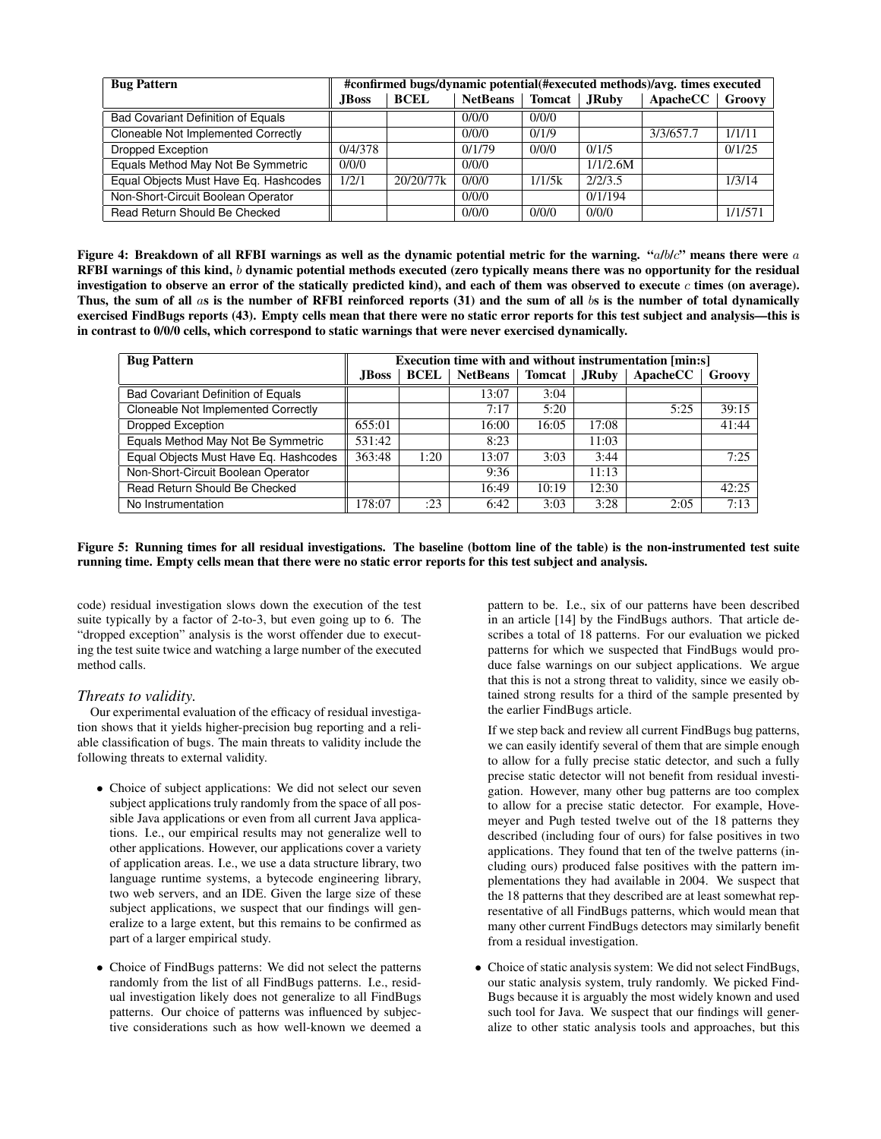| <b>Bug Pattern</b>                    | #confirmed bugs/dynamic potential(#executed methods)/avg. times executed |             |                 |        |              |                  |               |
|---------------------------------------|--------------------------------------------------------------------------|-------------|-----------------|--------|--------------|------------------|---------------|
|                                       | <b>JBoss</b>                                                             | <b>BCEL</b> | <b>NetBeans</b> | Tomcat | <b>JRuby</b> | ApacheCC $\vert$ | <b>Groovy</b> |
| Bad Covariant Definition of Equals    |                                                                          |             | 0/0/0           | 0/0/0  |              |                  |               |
| Cloneable Not Implemented Correctly   |                                                                          |             | 0/0/0           | 0/1/9  |              | 3/3/657.7        | 1/1/11        |
| <b>Dropped Exception</b>              | 0/4/378                                                                  |             | 0/1/79          | 0/0/0  | 0/1/5        |                  | 0/1/25        |
| Equals Method May Not Be Symmetric    | 0/0/0                                                                    |             | 0/0/0           |        | 1/1/2.6M     |                  |               |
| Equal Objects Must Have Eq. Hashcodes | 1/2/1                                                                    | 20/20/77k   | 0/0/0           | 1/1/5k | 2/2/3.5      |                  | 1/3/14        |
| Non-Short-Circuit Boolean Operator    |                                                                          |             | 0/0/0           |        | 0/1/194      |                  |               |
| Read Return Should Be Checked         |                                                                          |             | 0/0/0           | 0/0/0  | 0/0/0        |                  | 1/1/571       |

Figure 4: Breakdown of all RFBI warnings as well as the dynamic potential metric for the warning. " $a/b/c$ " means there were a RFBI warnings of this kind,  $b$  dynamic potential methods executed (zero typically means there was no opportunity for the residual investigation to observe an error of the statically predicted kind), and each of them was observed to execute  $c$  times (on average). Thus, the sum of all as is the number of RFBI reinforced reports (31) and the sum of all bs is the number of total dynamically exercised FindBugs reports (43). Empty cells mean that there were no static error reports for this test subject and analysis—this is in contrast to 0/0/0 cells, which correspond to static warnings that were never exercised dynamically.

| <b>Bug Pattern</b>                    | <b>Execution time with and without instrumentation [min:s]</b> |      |                 |               |       |          |        |
|---------------------------------------|----------------------------------------------------------------|------|-----------------|---------------|-------|----------|--------|
|                                       | <b>JBoss</b>                                                   | BCEL | <b>NetBeans</b> | <b>Tomcat</b> | JRuby | ApacheCC | Groovy |
| Bad Covariant Definition of Equals    |                                                                |      | 13:07           | 3:04          |       |          |        |
| Cloneable Not Implemented Correctly   |                                                                |      | 7:17            | 5:20          |       | 5:25     | 39:15  |
| Dropped Exception                     | 655:01                                                         |      | 16:00           | 16:05         | 17:08 |          | 41:44  |
| Equals Method May Not Be Symmetric    | 531:42                                                         |      | 8:23            |               | 11:03 |          |        |
| Equal Objects Must Have Eq. Hashcodes | 363:48                                                         | 1:20 | 13:07           | 3:03          | 3:44  |          | 7:25   |
| Non-Short-Circuit Boolean Operator    |                                                                |      | 9:36            |               | 11:13 |          |        |
| Read Return Should Be Checked         |                                                                |      | 16:49           | 10:19         | 12:30 |          | 42:25  |
| No Instrumentation                    | 178:07                                                         | :23  | 6:42            | 3:03          | 3:28  | 2:05     | 7:13   |

Figure 5: Running times for all residual investigations. The baseline (bottom line of the table) is the non-instrumented test suite running time. Empty cells mean that there were no static error reports for this test subject and analysis.

code) residual investigation slows down the execution of the test suite typically by a factor of 2-to-3, but even going up to 6. The "dropped exception" analysis is the worst offender due to executing the test suite twice and watching a large number of the executed method calls.

# *Threats to validity.*

Our experimental evaluation of the efficacy of residual investigation shows that it yields higher-precision bug reporting and a reliable classification of bugs. The main threats to validity include the following threats to external validity.

- Choice of subject applications: We did not select our seven subject applications truly randomly from the space of all possible Java applications or even from all current Java applications. I.e., our empirical results may not generalize well to other applications. However, our applications cover a variety of application areas. I.e., we use a data structure library, two language runtime systems, a bytecode engineering library, two web servers, and an IDE. Given the large size of these subject applications, we suspect that our findings will generalize to a large extent, but this remains to be confirmed as part of a larger empirical study.
- Choice of FindBugs patterns: We did not select the patterns randomly from the list of all FindBugs patterns. I.e., residual investigation likely does not generalize to all FindBugs patterns. Our choice of patterns was influenced by subjective considerations such as how well-known we deemed a

pattern to be. I.e., six of our patterns have been described in an article [14] by the FindBugs authors. That article describes a total of 18 patterns. For our evaluation we picked patterns for which we suspected that FindBugs would produce false warnings on our subject applications. We argue that this is not a strong threat to validity, since we easily obtained strong results for a third of the sample presented by the earlier FindBugs article.

If we step back and review all current FindBugs bug patterns, we can easily identify several of them that are simple enough to allow for a fully precise static detector, and such a fully precise static detector will not benefit from residual investigation. However, many other bug patterns are too complex to allow for a precise static detector. For example, Hovemeyer and Pugh tested twelve out of the 18 patterns they described (including four of ours) for false positives in two applications. They found that ten of the twelve patterns (including ours) produced false positives with the pattern implementations they had available in 2004. We suspect that the 18 patterns that they described are at least somewhat representative of all FindBugs patterns, which would mean that many other current FindBugs detectors may similarly benefit from a residual investigation.

• Choice of static analysis system: We did not select FindBugs, our static analysis system, truly randomly. We picked Find-Bugs because it is arguably the most widely known and used such tool for Java. We suspect that our findings will generalize to other static analysis tools and approaches, but this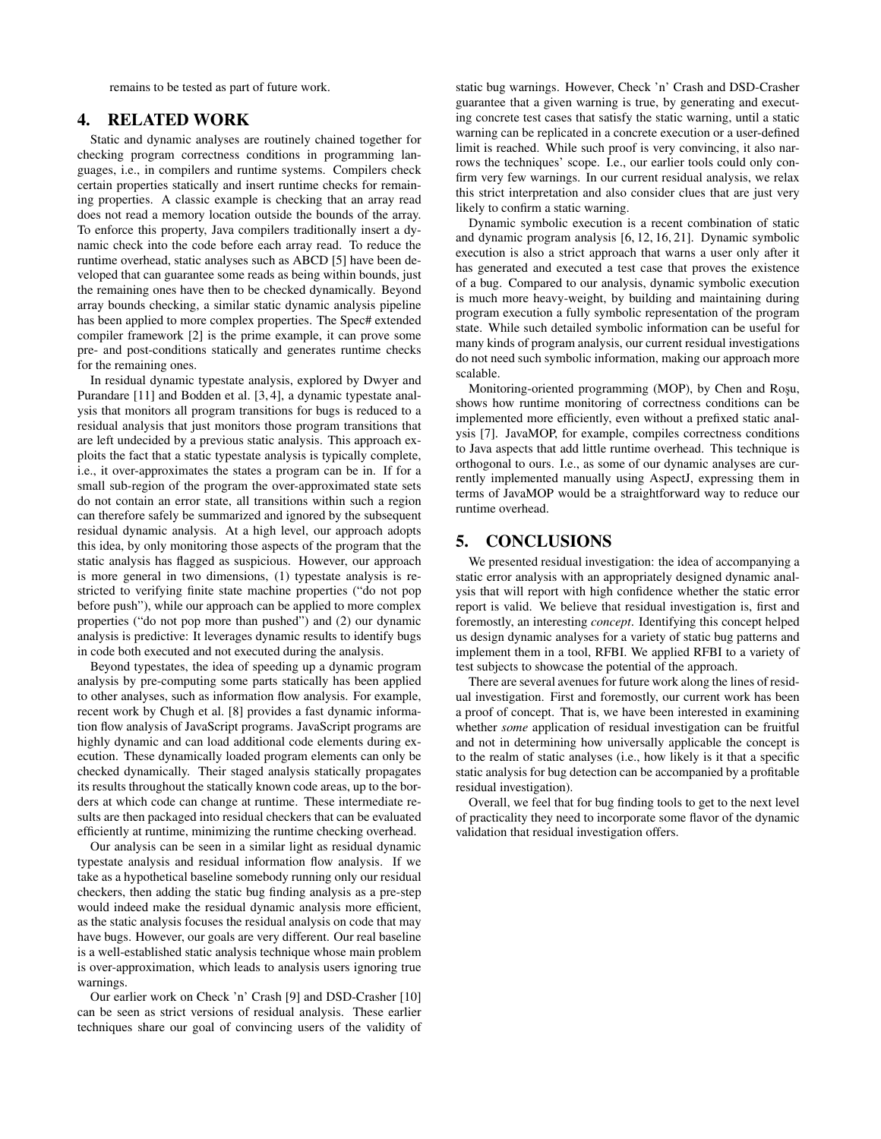remains to be tested as part of future work.

# 4. RELATED WORK

Static and dynamic analyses are routinely chained together for checking program correctness conditions in programming languages, i.e., in compilers and runtime systems. Compilers check certain properties statically and insert runtime checks for remaining properties. A classic example is checking that an array read does not read a memory location outside the bounds of the array. To enforce this property, Java compilers traditionally insert a dynamic check into the code before each array read. To reduce the runtime overhead, static analyses such as ABCD [5] have been developed that can guarantee some reads as being within bounds, just the remaining ones have then to be checked dynamically. Beyond array bounds checking, a similar static dynamic analysis pipeline has been applied to more complex properties. The Spec# extended compiler framework [2] is the prime example, it can prove some pre- and post-conditions statically and generates runtime checks for the remaining ones.

In residual dynamic typestate analysis, explored by Dwyer and Purandare [11] and Bodden et al. [3, 4], a dynamic typestate analysis that monitors all program transitions for bugs is reduced to a residual analysis that just monitors those program transitions that are left undecided by a previous static analysis. This approach exploits the fact that a static typestate analysis is typically complete, i.e., it over-approximates the states a program can be in. If for a small sub-region of the program the over-approximated state sets do not contain an error state, all transitions within such a region can therefore safely be summarized and ignored by the subsequent residual dynamic analysis. At a high level, our approach adopts this idea, by only monitoring those aspects of the program that the static analysis has flagged as suspicious. However, our approach is more general in two dimensions, (1) typestate analysis is restricted to verifying finite state machine properties ("do not pop before push"), while our approach can be applied to more complex properties ("do not pop more than pushed") and (2) our dynamic analysis is predictive: It leverages dynamic results to identify bugs in code both executed and not executed during the analysis.

Beyond typestates, the idea of speeding up a dynamic program analysis by pre-computing some parts statically has been applied to other analyses, such as information flow analysis. For example, recent work by Chugh et al. [8] provides a fast dynamic information flow analysis of JavaScript programs. JavaScript programs are highly dynamic and can load additional code elements during execution. These dynamically loaded program elements can only be checked dynamically. Their staged analysis statically propagates its results throughout the statically known code areas, up to the borders at which code can change at runtime. These intermediate results are then packaged into residual checkers that can be evaluated efficiently at runtime, minimizing the runtime checking overhead.

Our analysis can be seen in a similar light as residual dynamic typestate analysis and residual information flow analysis. If we take as a hypothetical baseline somebody running only our residual checkers, then adding the static bug finding analysis as a pre-step would indeed make the residual dynamic analysis more efficient, as the static analysis focuses the residual analysis on code that may have bugs. However, our goals are very different. Our real baseline is a well-established static analysis technique whose main problem is over-approximation, which leads to analysis users ignoring true warnings.

Our earlier work on Check 'n' Crash [9] and DSD-Crasher [10] can be seen as strict versions of residual analysis. These earlier techniques share our goal of convincing users of the validity of static bug warnings. However, Check 'n' Crash and DSD-Crasher guarantee that a given warning is true, by generating and executing concrete test cases that satisfy the static warning, until a static warning can be replicated in a concrete execution or a user-defined limit is reached. While such proof is very convincing, it also narrows the techniques' scope. I.e., our earlier tools could only confirm very few warnings. In our current residual analysis, we relax this strict interpretation and also consider clues that are just very likely to confirm a static warning.

Dynamic symbolic execution is a recent combination of static and dynamic program analysis [6, 12, 16, 21]. Dynamic symbolic execution is also a strict approach that warns a user only after it has generated and executed a test case that proves the existence of a bug. Compared to our analysis, dynamic symbolic execution is much more heavy-weight, by building and maintaining during program execution a fully symbolic representation of the program state. While such detailed symbolic information can be useful for many kinds of program analysis, our current residual investigations do not need such symbolic information, making our approach more scalable.

Monitoring-oriented programming (MOP), by Chen and Roşu, shows how runtime monitoring of correctness conditions can be implemented more efficiently, even without a prefixed static analysis [7]. JavaMOP, for example, compiles correctness conditions to Java aspects that add little runtime overhead. This technique is orthogonal to ours. I.e., as some of our dynamic analyses are currently implemented manually using AspectJ, expressing them in terms of JavaMOP would be a straightforward way to reduce our runtime overhead.

# 5. CONCLUSIONS

We presented residual investigation: the idea of accompanying a static error analysis with an appropriately designed dynamic analysis that will report with high confidence whether the static error report is valid. We believe that residual investigation is, first and foremostly, an interesting *concept*. Identifying this concept helped us design dynamic analyses for a variety of static bug patterns and implement them in a tool, RFBI. We applied RFBI to a variety of test subjects to showcase the potential of the approach.

There are several avenues for future work along the lines of residual investigation. First and foremostly, our current work has been a proof of concept. That is, we have been interested in examining whether *some* application of residual investigation can be fruitful and not in determining how universally applicable the concept is to the realm of static analyses (i.e., how likely is it that a specific static analysis for bug detection can be accompanied by a profitable residual investigation).

Overall, we feel that for bug finding tools to get to the next level of practicality they need to incorporate some flavor of the dynamic validation that residual investigation offers.